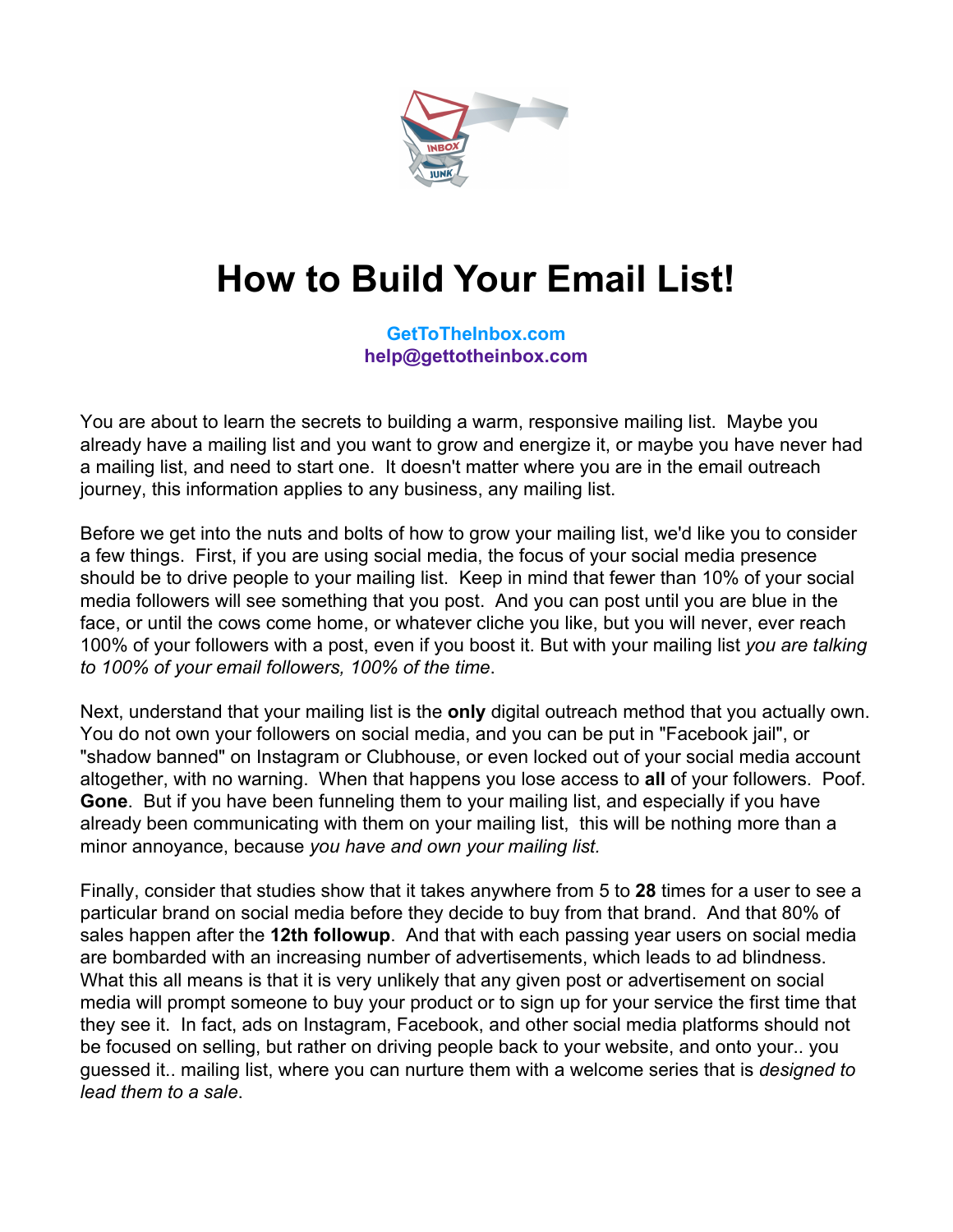

# **How to Build Your Email List!**

**[GetToTheInbox.com](http://gettotheinbox.com)  [help@gettotheinbox.com](mailto:help@gettotheinbox.com)**

You are about to learn the secrets to building a warm, responsive mailing list. Maybe you already have a mailing list and you want to grow and energize it, or maybe you have never had a mailing list, and need to start one. It doesn't matter where you are in the email outreach journey, this information applies to any business, any mailing list.

Before we get into the nuts and bolts of how to grow your mailing list, we'd like you to consider a few things. First, if you are using social media, the focus of your social media presence should be to drive people to your mailing list. Keep in mind that fewer than 10% of your social media followers will see something that you post. And you can post until you are blue in the face, or until the cows come home, or whatever cliche you like, but you will never, ever reach 100% of your followers with a post, even if you boost it. But with your mailing list *you are talking to 100% of your email followers, 100% of the time*.

Next, understand that your mailing list is the **only** digital outreach method that you actually own. You do not own your followers on social media, and you can be put in "Facebook jail", or "shadow banned" on Instagram or Clubhouse, or even locked out of your social media account altogether, with no warning. When that happens you lose access to **all** of your followers. Poof. **Gone**. But if you have been funneling them to your mailing list, and especially if you have already been communicating with them on your mailing list, this will be nothing more than a minor annoyance, because *you have and own your mailing list.*

Finally, consider that studies show that it takes anywhere from 5 to **28** times for a user to see a particular brand on social media before they decide to buy from that brand. And that 80% of sales happen after the **12th followup**. And that with each passing year users on social media are bombarded with an increasing number of advertisements, which leads to ad blindness. What this all means is that it is very unlikely that any given post or advertisement on social media will prompt someone to buy your product or to sign up for your service the first time that they see it. In fact, ads on Instagram, Facebook, and other social media platforms should not be focused on selling, but rather on driving people back to your website, and onto your.. you guessed it.. mailing list, where you can nurture them with a welcome series that is *designed to lead them to a sale*.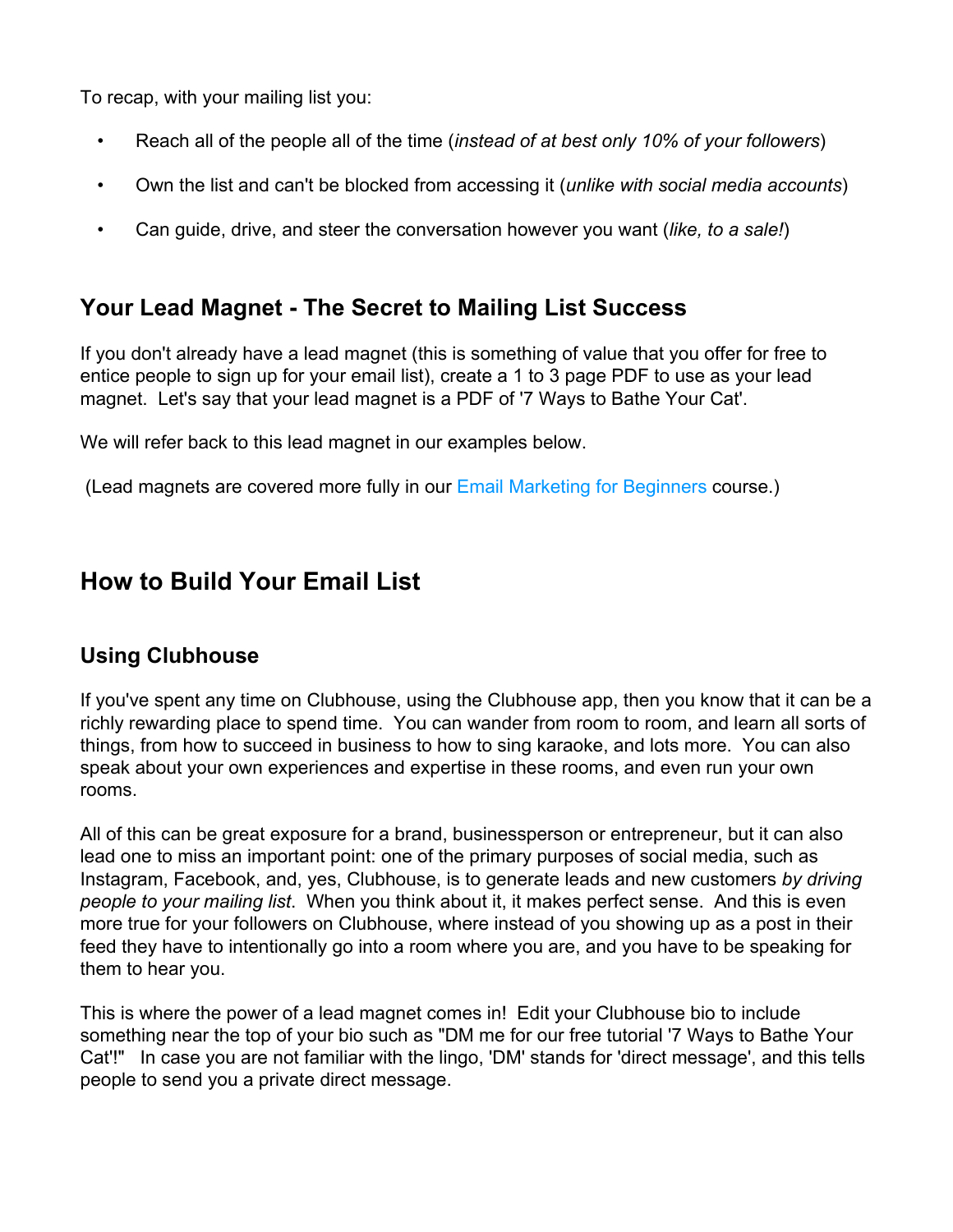To recap, with your mailing list you:

- Reach all of the people all of the time (*instead of at best only 10% of your followers*)
- Own the list and can't be blocked from accessing it (*unlike with social media accounts*)
- Can guide, drive, and steer the conversation however you want (*like, to a sale!*)

### **Your Lead Magnet - The Secret to Mailing List Success**

If you don't already have a lead magnet (this is something of value that you offer for free to entice people to sign up for your email list), create a 1 to 3 page PDF to use as your lead magnet. Let's say that your lead magnet is a PDF of '7 Ways to Bathe Your Cat'.

We will refer back to this lead magnet in our examples below.

(Lead magnets are covered more fully in our [Email Marketing for Beginners](http://www.isipp.com/email-marketing-for-beginners/) course.)

## **How to Build Your Email List**

#### **Using Clubhouse**

If you've spent any time on Clubhouse, using the Clubhouse app, then you know that it can be a richly rewarding place to spend time. You can wander from room to room, and learn all sorts of things, from how to succeed in business to how to sing karaoke, and lots more. You can also speak about your own experiences and expertise in these rooms, and even run your own rooms.

All of this can be great exposure for a brand, businessperson or entrepreneur, but it can also lead one to miss an important point: one of the primary purposes of social media, such as Instagram, Facebook, and, yes, Clubhouse, is to generate leads and new customers *by driving people to your mailing list*. When you think about it, it makes perfect sense. And this is even more true for your followers on Clubhouse, where instead of you showing up as a post in their feed they have to intentionally go into a room where you are, and you have to be speaking for them to hear you.

This is where the power of a lead magnet comes in! Edit your Clubhouse bio to include something near the top of your bio such as "DM me for our free tutorial '7 Ways to Bathe Your Cat'!" In case you are not familiar with the lingo, 'DM' stands for 'direct message', and this tells people to send you a private direct message.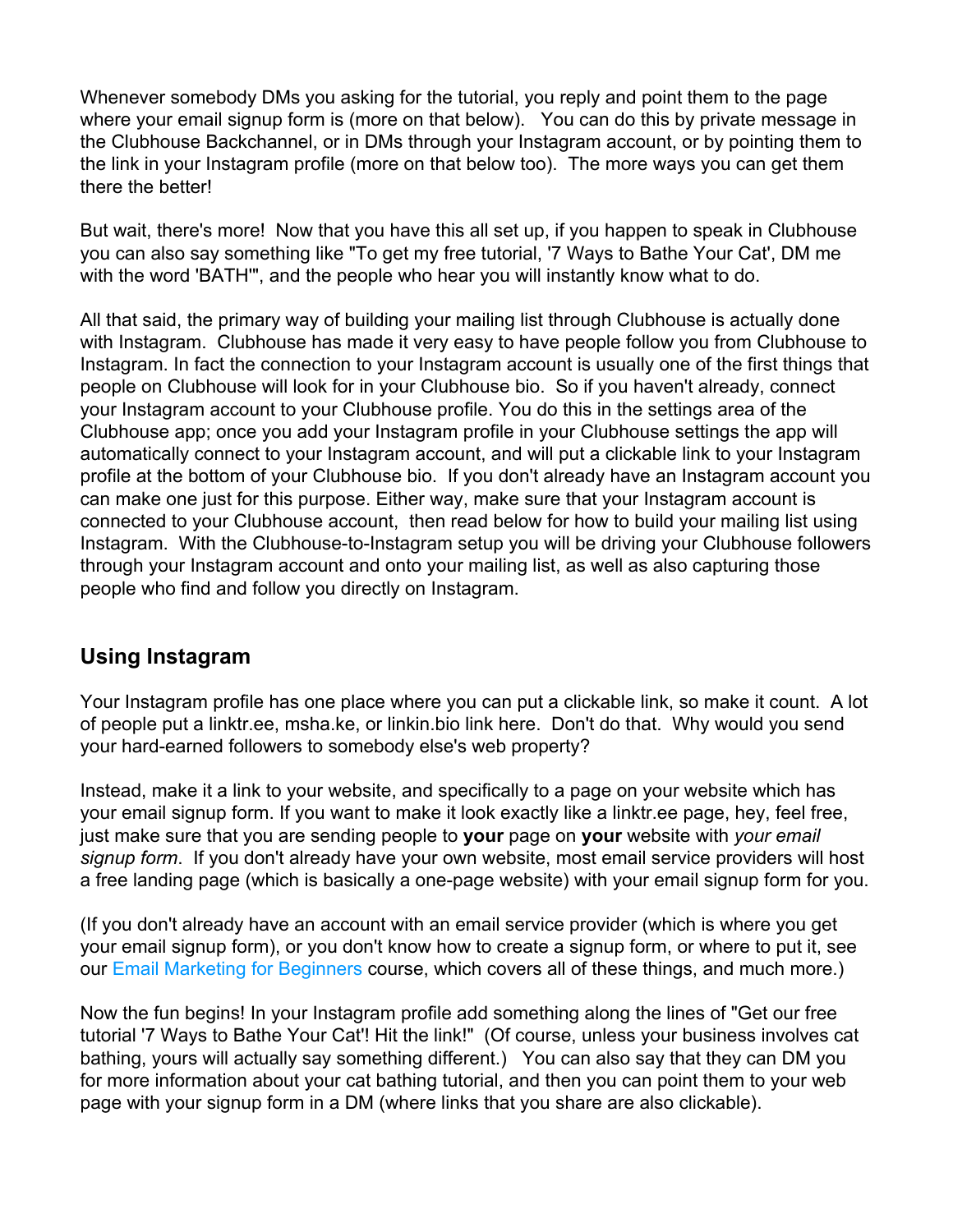Whenever somebody DMs you asking for the tutorial, you reply and point them to the page where your email signup form is (more on that below). You can do this by private message in the Clubhouse Backchannel, or in DMs through your Instagram account, or by pointing them to the link in your Instagram profile (more on that below too). The more ways you can get them there the better!

But wait, there's more! Now that you have this all set up, if you happen to speak in Clubhouse you can also say something like "To get my free tutorial, '7 Ways to Bathe Your Cat', DM me with the word 'BATH'", and the people who hear you will instantly know what to do.

All that said, the primary way of building your mailing list through Clubhouse is actually done with Instagram. Clubhouse has made it very easy to have people follow you from Clubhouse to Instagram. In fact the connection to your Instagram account is usually one of the first things that people on Clubhouse will look for in your Clubhouse bio. So if you haven't already, connect your Instagram account to your Clubhouse profile. You do this in the settings area of the Clubhouse app; once you add your Instagram profile in your Clubhouse settings the app will automatically connect to your Instagram account, and will put a clickable link to your Instagram profile at the bottom of your Clubhouse bio. If you don't already have an Instagram account you can make one just for this purpose. Either way, make sure that your Instagram account is connected to your Clubhouse account, then read below for how to build your mailing list using Instagram. With the Clubhouse-to-Instagram setup you will be driving your Clubhouse followers through your Instagram account and onto your mailing list, as well as also capturing those people who find and follow you directly on Instagram.

#### **Using Instagram**

Your Instagram profile has one place where you can put a clickable link, so make it count. A lot of people put a linktr.ee, msha.ke, or linkin.bio link here. Don't do that. Why would you send your hard-earned followers to somebody else's web property?

Instead, make it a link to your website, and specifically to a page on your website which has your email signup form. If you want to make it look exactly like a linktr.ee page, hey, feel free, just make sure that you are sending people to **your** page on **your** website with *your email signup form*. If you don't already have your own website, most email service providers will host a free landing page (which is basically a one-page website) with your email signup form for you.

(If you don't already have an account with an email service provider (which is where you get your email signup form), or you don't know how to create a signup form, or where to put it, see our [Email Marketing for Beginners](http://www.isipp.com/email-marketing-for-beginners/) course, which covers all of these things, and much more.)

Now the fun begins! In your Instagram profile add something along the lines of "Get our free tutorial '7 Ways to Bathe Your Cat'! Hit the link!" (Of course, unless your business involves cat bathing, yours will actually say something different.) You can also say that they can DM you for more information about your cat bathing tutorial, and then you can point them to your web page with your signup form in a DM (where links that you share are also clickable).